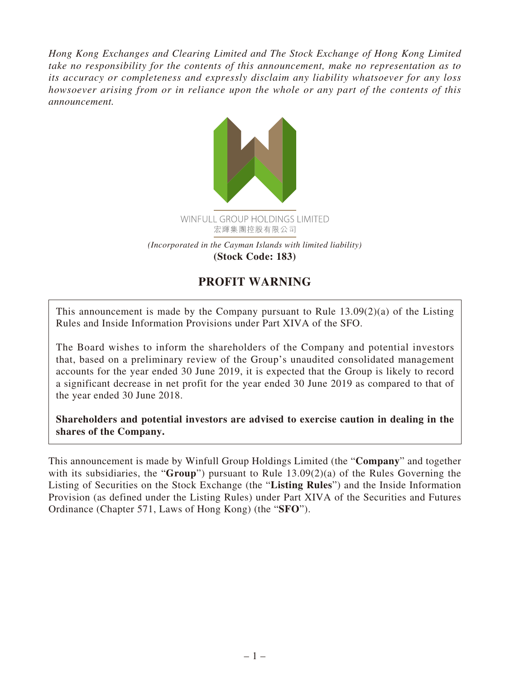*Hong Kong Exchanges and Clearing Limited and The Stock Exchange of Hong Kong Limited take no responsibility for the contents of this announcement, make no representation as to its accuracy or completeness and expressly disclaim any liability whatsoever for any loss howsoever arising from or in reliance upon the whole or any part of the contents of this announcement.*



## **PROFIT WARNING**

This announcement is made by the Company pursuant to Rule 13.09(2)(a) of the Listing Rules and Inside Information Provisions under Part XIVA of the SFO.

The Board wishes to inform the shareholders of the Company and potential investors that, based on a preliminary review of the Group's unaudited consolidated management accounts for the year ended 30 June 2019, it is expected that the Group is likely to record a significant decrease in net profit for the year ended 30 June 2019 as compared to that of the year ended 30 June 2018.

**Shareholders and potential investors are advised to exercise caution in dealing in the shares of the Company.**

This announcement is made by Winfull Group Holdings Limited (the "**Company**" and together with its subsidiaries, the "**Group**") pursuant to Rule 13.09(2)(a) of the Rules Governing the Listing of Securities on the Stock Exchange (the "**Listing Rules**") and the Inside Information Provision (as defined under the Listing Rules) under Part XIVA of the Securities and Futures Ordinance (Chapter 571, Laws of Hong Kong) (the "**SFO**").